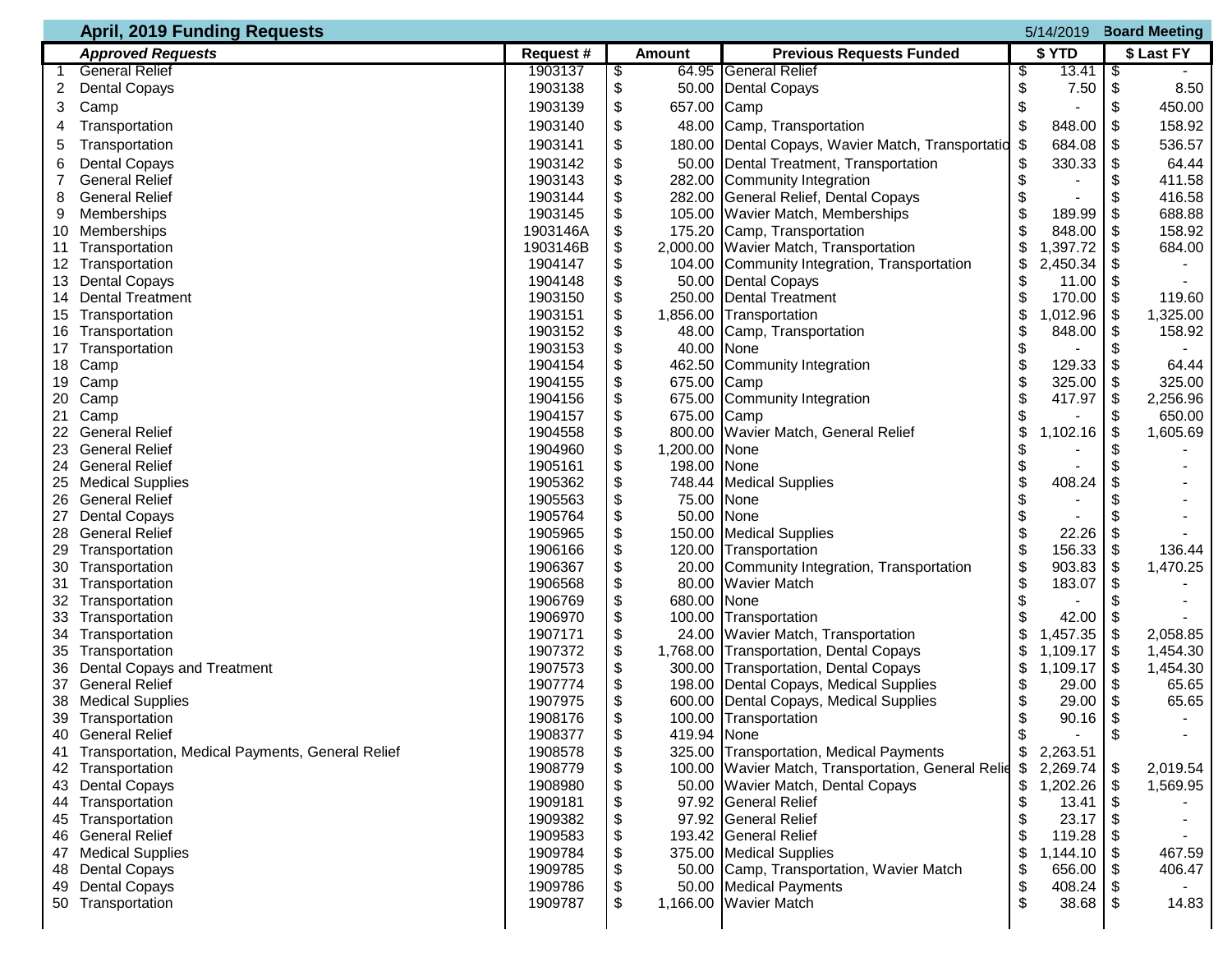|    | <b>April, 2019 Funding Requests</b>              |           |    |               |                                                    | 5/14/2019 |          | <b>Board Meeting</b> |            |
|----|--------------------------------------------------|-----------|----|---------------|----------------------------------------------------|-----------|----------|----------------------|------------|
|    | <b>Approved Requests</b>                         | Request # |    | <b>Amount</b> | <b>Previous Requests Funded</b>                    |           | \$ YTD   |                      | \$ Last FY |
|    | <b>General Relief</b>                            | 1903137   |    |               | 64.95 General Relief                               | \$        | 13.41    | \$                   |            |
| 2  | <b>Dental Copays</b>                             | 1903138   | \$ |               | 50.00 Dental Copays                                | \$        | 7.50     | \$                   | 8.50       |
| 3  | Camp                                             | 1903139   | \$ | 657.00 Camp   |                                                    | \$        |          | \$                   | 450.00     |
|    | Transportation                                   | 1903140   | \$ |               | 48.00 Camp, Transportation                         | \$        | 848.00   | \$                   | 158.92     |
| 5  | Transportation                                   | 1903141   |    |               | 180.00 Dental Copays, Wavier Match, Transportatio  | \$        | 684.08   | \$                   | 536.57     |
| 6  | <b>Dental Copays</b>                             | 1903142   |    |               | 50.00 Dental Treatment, Transportation             | \$        | 330.33   | \$                   | 64.44      |
|    | <b>General Relief</b>                            | 1903143   |    |               | 282.00 Community Integration                       | \$        |          | \$                   | 411.58     |
| 8  | <b>General Relief</b>                            | 1903144   |    |               | 282.00 General Relief, Dental Copays               | \$        |          | \$                   | 416.58     |
| 9  | Memberships                                      | 1903145   |    |               | 105.00 Wavier Match, Memberships                   | \$        | 189.99   | \$                   | 688.88     |
|    | 10 Memberships                                   | 1903146A  |    |               | 175.20 Camp, Transportation                        | \$        | 848.00   | \$                   | 158.92     |
|    | 11 Transportation                                | 1903146B  |    |               | 2,000.00 Wavier Match, Transportation              | \$        | 1,397.72 | \$                   | 684.00     |
|    | 12 Transportation                                | 1904147   |    |               | 104.00 Community Integration, Transportation       | \$        | 2,450.34 | \$                   |            |
| 13 | <b>Dental Copays</b>                             | 1904148   |    |               | 50.00 Dental Copays                                | \$        | 11.00    | \$                   |            |
|    | 14 Dental Treatment                              | 1903150   |    |               | 250.00 Dental Treatment                            | \$        | 170.00   | \$                   | 119.60     |
|    | 15 Transportation                                | 1903151   |    | 1,856.00      | Transportation                                     | \$        | ,012.96  | \$                   | 1,325.00   |
|    | 16 Transportation                                | 1903152   |    | 48.00         | Camp, Transportation                               | \$        | 848.00   | \$                   | 158.92     |
| 17 | Transportation                                   | 1903153   | \$ | 40.00 None    |                                                    | \$        |          | \$                   |            |
|    | 18 Camp                                          | 1904154   |    |               | 462.50 Community Integration                       | \$        | 129.33   | \$                   | 64.44      |
|    | 19 Camp                                          | 1904155   | \$ | 675.00 Camp   |                                                    | \$        | 325.00   | \$                   | 325.00     |
|    | 20 Camp                                          | 1904156   |    | 675.00        | Community Integration                              | \$        | 417.97   | \$                   | 2,256.96   |
| 21 | Camp                                             | 1904157   |    | 675.00 Camp   |                                                    | \$        |          | \$                   | 650.00     |
|    | <b>General Relief</b>                            | 1904558   |    |               | 800.00 Wavier Match, General Relief                | \$        | 1,102.16 | \$                   | 1,605.69   |
| 23 | <b>General Relief</b>                            | 1904960   | \$ | 1,200.00 None |                                                    | \$        |          |                      |            |
|    | 24 General Relief                                | 1905161   | \$ | 198.00 None   |                                                    | \$        |          |                      |            |
|    | 25 Medical Supplies                              | 1905362   |    |               | 748.44 Medical Supplies                            | \$        | 408.24   |                      |            |
| 26 | <b>General Relief</b>                            | 1905563   |    | 75.00 None    |                                                    | \$        |          |                      |            |
| 27 | <b>Dental Copays</b>                             | 1905764   | \$ | 50.00 None    |                                                    | \$        |          |                      |            |
| 28 | <b>General Relief</b>                            | 1905965   | \$ |               | 150.00 Medical Supplies                            | \$        | 22.26    | \$                   |            |
|    | 29 Transportation                                | 1906166   |    |               | 120.00 Transportation                              | \$        | 156.33   | \$                   | 136.44     |
|    | 30 Transportation                                | 1906367   |    |               | 20.00 Community Integration, Transportation        | \$        | 903.83   | \$                   | 1,470.25   |
|    | 31 Transportation                                | 1906568   |    |               | 80.00 Wavier Match                                 | \$        | 183.07   | \$                   |            |
|    | 32 Transportation                                | 1906769   |    | 680.00 None   |                                                    | \$        |          |                      |            |
|    | 33 Transportation                                | 1906970   | \$ |               | 100.00 Transportation                              | \$        | 42.00    | \$                   |            |
|    | 34 Transportation                                | 1907171   | \$ |               | 24.00 Wavier Match, Transportation                 | \$        | 1,457.35 | \$                   | 2,058.85   |
|    | 35 Transportation                                | 1907372   | \$ |               | 1,768.00 Transportation, Dental Copays             | \$        | 1,109.17 | \$                   | 1,454.30   |
| 36 | <b>Dental Copays and Treatment</b>               | 1907573   | \$ |               | 300.00 Transportation, Dental Copays               | \$        | 1,109.17 | \$                   | 1,454.30   |
| 37 | <b>General Relief</b>                            | 1907774   |    |               | 198.00 Dental Copays, Medical Supplies             | \$        | 29.00    | \$                   | 65.65      |
|    | 38 Medical Supplies                              | 1907975   | \$ |               | 600.00 Dental Copays, Medical Supplies             | \$        | 29.00    | \$                   | 65.65      |
|    | 39 Transportation                                | 1908176   | ፍ  |               | 100.00 Transportation                              | ፍ         | 90.16    | \$                   |            |
|    | 40 General Relief                                | 1908377   | \$ | 419.94 None   |                                                    | \$        |          | \$                   |            |
| 41 | Transportation, Medical Payments, General Relief | 1908578   | S  |               | 325.00 Transportation, Medical Payments            | \$        | 2,263.51 |                      |            |
| 42 | Transportation                                   | 1908779   | \$ |               | 100.00 Wavier Match, Transportation, General Relie | \$        | 2,269.74 | \$                   | 2,019.54   |
|    | 43 Dental Copays                                 | 1908980   |    |               | 50.00 Wavier Match, Dental Copays                  | \$        | 1,202.26 | \$                   | 1,569.95   |
|    | 44 Transportation                                | 1909181   |    |               | 97.92 General Relief                               | \$        | 13.41    |                      |            |
|    | 45 Transportation                                | 1909382   |    |               | 97.92 General Relief                               |           | 23.17    |                      |            |
|    | 46 General Relief                                | 1909583   |    |               | 193.42 General Relief                              |           | 119.28   |                      |            |
|    | 47 Medical Supplies                              | 1909784   |    |               | 375.00 Medical Supplies                            | \$        | 1,144.10 | \$                   | 467.59     |
| 48 | <b>Dental Copays</b>                             | 1909785   |    |               | 50.00 Camp, Transportation, Wavier Match           | \$        | 656.00   |                      | 406.47     |
|    | 49 Dental Copays                                 | 1909786   |    |               | 50.00 Medical Payments                             | \$        | 408.24   |                      |            |
|    | 50 Transportation                                | 1909787   |    |               | 1,166.00 Wavier Match                              | \$        | 38.68    |                      | 14.83      |
|    |                                                  |           |    |               |                                                    |           |          |                      |            |